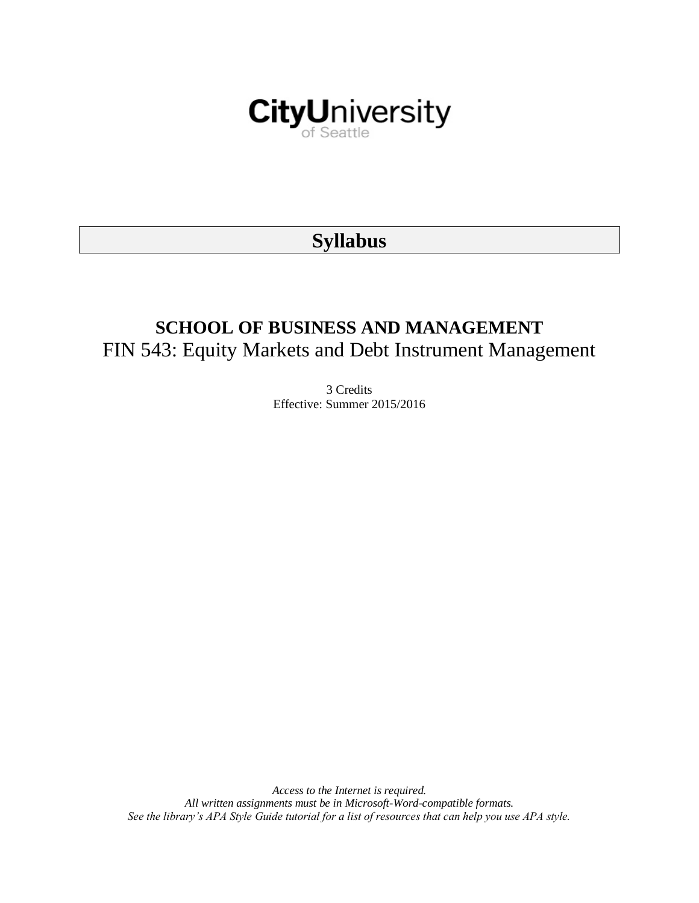

# **Syllabus**

# **SCHOOL OF BUSINESS AND MANAGEMENT** FIN 543: Equity Markets and Debt Instrument Management

3 Credits Effective: Summer 2015/2016

*Access to the Internet is required. All written assignments must be in Microsoft-Word-compatible formats. See the library's APA Style Guide tutorial for a list of resources that can help you use APA style.*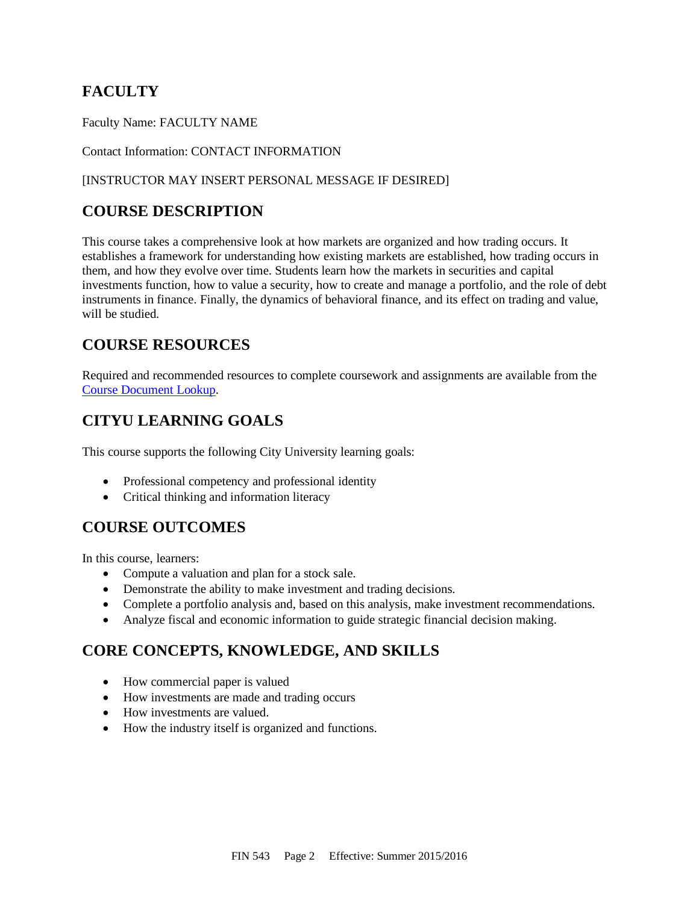## **FACULTY**

Faculty Name: FACULTY NAME

#### Contact Information: CONTACT INFORMATION

#### [INSTRUCTOR MAY INSERT PERSONAL MESSAGE IF DESIRED]

## **COURSE DESCRIPTION**

This course takes a comprehensive look at how markets are organized and how trading occurs. It establishes a framework for understanding how existing markets are established, how trading occurs in them, and how they evolve over time. Students learn how the markets in securities and capital investments function, how to value a security, how to create and manage a portfolio, and the role of debt instruments in finance. Finally, the dynamics of behavioral finance, and its effect on trading and value, will be studied.

## **COURSE RESOURCES**

Required and recommended resources to complete coursework and assignments are available from the [Course Document Lookup.](https://documents.cityu.edu/coursedocumentlookup.aspx)

## **CITYU LEARNING GOALS**

This course supports the following City University learning goals:

- Professional competency and professional identity
- Critical thinking and information literacy

## **COURSE OUTCOMES**

In this course, learners:

- Compute a valuation and plan for a stock sale.
- Demonstrate the ability to make investment and trading decisions.
- Complete a portfolio analysis and, based on this analysis, make investment recommendations.
- Analyze fiscal and economic information to guide strategic financial decision making.

## **CORE CONCEPTS, KNOWLEDGE, AND SKILLS**

- How commercial paper is valued
- How investments are made and trading occurs
- How investments are valued.
- How the industry itself is organized and functions.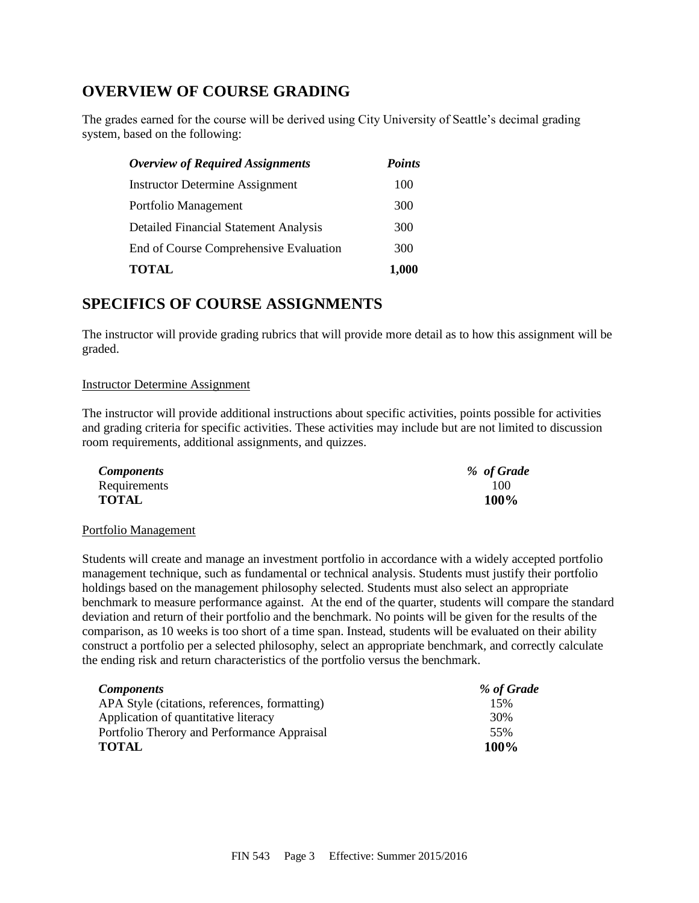## **OVERVIEW OF COURSE GRADING**

The grades earned for the course will be derived using City University of Seattle's decimal grading system, based on the following:

| <b>Overview of Required Assignments</b>      | <b>Points</b> |  |
|----------------------------------------------|---------------|--|
| <b>Instructor Determine Assignment</b>       | 100           |  |
| Portfolio Management                         | 300           |  |
| <b>Detailed Financial Statement Analysis</b> | 300           |  |
| End of Course Comprehensive Evaluation       | 300           |  |
| <b>TOTAL</b>                                 | 1,000         |  |

## **SPECIFICS OF COURSE ASSIGNMENTS**

The instructor will provide grading rubrics that will provide more detail as to how this assignment will be graded.

#### Instructor Determine Assignment

The instructor will provide additional instructions about specific activities, points possible for activities and grading criteria for specific activities. These activities may include but are not limited to discussion room requirements, additional assignments, and quizzes.

| <b>Components</b> | % of Grade |
|-------------------|------------|
| Requirements      | 100        |
| <b>TOTAL</b>      | 100%       |

#### Portfolio Management

Students will create and manage an investment portfolio in accordance with a widely accepted portfolio management technique, such as fundamental or technical analysis. Students must justify their portfolio holdings based on the management philosophy selected. Students must also select an appropriate benchmark to measure performance against. At the end of the quarter, students will compare the standard deviation and return of their portfolio and the benchmark. No points will be given for the results of the comparison, as 10 weeks is too short of a time span. Instead, students will be evaluated on their ability construct a portfolio per a selected philosophy, select an appropriate benchmark, and correctly calculate the ending risk and return characteristics of the portfolio versus the benchmark.

| <b>Components</b>                             | % of Grade |
|-----------------------------------------------|------------|
| APA Style (citations, references, formatting) | 15%        |
| Application of quantitative literacy          | 30%        |
| Portfolio Therory and Performance Appraisal   | 55%        |
| <b>TOTAL</b>                                  | 100%       |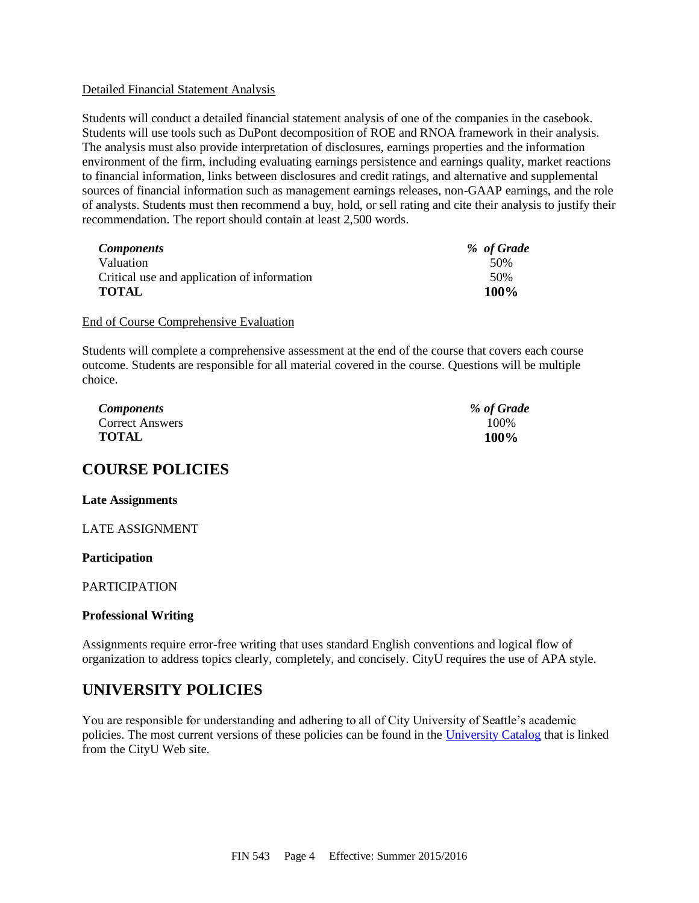#### Detailed Financial Statement Analysis

Students will conduct a detailed financial statement analysis of one of the companies in the casebook. Students will use tools such as DuPont decomposition of ROE and RNOA framework in their analysis. The analysis must also provide interpretation of disclosures, earnings properties and the information environment of the firm, including evaluating earnings persistence and earnings quality, market reactions to financial information, links between disclosures and credit ratings, and alternative and supplemental sources of financial information such as management earnings releases, non-GAAP earnings, and the role of analysts. Students must then recommend a buy, hold, or sell rating and cite their analysis to justify their recommendation. The report should contain at least 2,500 words.

| <b>Components</b>                           | % of Grade |
|---------------------------------------------|------------|
| Valuation                                   | 50%        |
| Critical use and application of information | 50%        |
| <b>TOTAL</b>                                | 100%       |

#### End of Course Comprehensive Evaluation

Students will complete a comprehensive assessment at the end of the course that covers each course outcome. Students are responsible for all material covered in the course. Questions will be multiple choice.

| <i>Components</i>      | % of Grade |
|------------------------|------------|
| <b>Correct Answers</b> | 100\%      |
| <b>TOTAL</b>           | 100%       |

## **COURSE POLICIES**

#### **Late Assignments**

LATE ASSIGNMENT

#### **Participation**

#### PARTICIPATION

#### **Professional Writing**

Assignments require error-free writing that uses standard English conventions and logical flow of organization to address topics clearly, completely, and concisely. CityU requires the use of APA style.

## **UNIVERSITY POLICIES**

You are responsible for understanding and adhering to all of City University of Seattle's academic policies. The most current versions of these policies can be found in the [University Catalog](http://cityu.edu/pdf/CityU_CourseCatalog.pdf) that is linked from the CityU Web site.